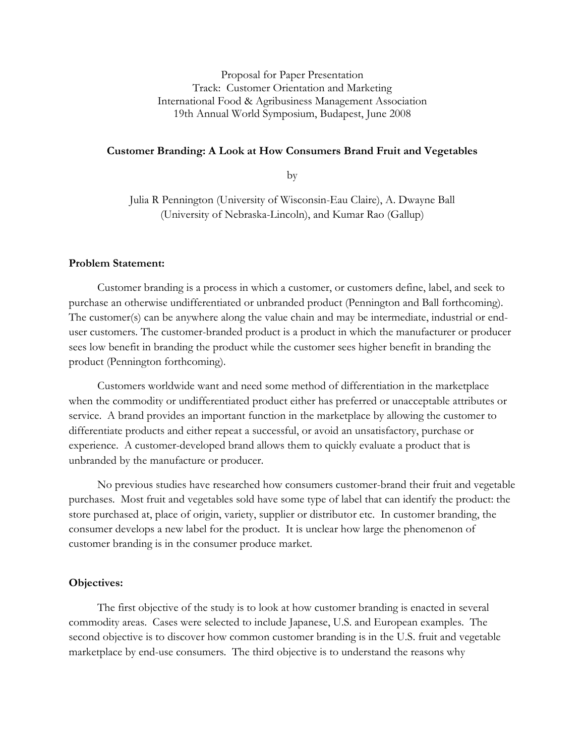Proposal for Paper Presentation Track: Customer Orientation and Marketing International Food & Agribusiness Management Association 19th Annual World Symposium, Budapest, June 2008

#### Customer Branding: A Look at How Consumers Brand Fruit and Vegetables

by

Julia R Pennington (University of Wisconsin-Eau Claire), A. Dwayne Ball (University of Nebraska-Lincoln), and Kumar Rao (Gallup)

### Problem Statement:

 Customer branding is a process in which a customer, or customers define, label, and seek to purchase an otherwise undifferentiated or unbranded product (Pennington and Ball forthcoming). The customer(s) can be anywhere along the value chain and may be intermediate, industrial or enduser customers. The customer-branded product is a product in which the manufacturer or producer sees low benefit in branding the product while the customer sees higher benefit in branding the product (Pennington forthcoming).

 Customers worldwide want and need some method of differentiation in the marketplace when the commodity or undifferentiated product either has preferred or unacceptable attributes or service. A brand provides an important function in the marketplace by allowing the customer to differentiate products and either repeat a successful, or avoid an unsatisfactory, purchase or experience. A customer-developed brand allows them to quickly evaluate a product that is unbranded by the manufacture or producer.

 No previous studies have researched how consumers customer-brand their fruit and vegetable purchases. Most fruit and vegetables sold have some type of label that can identify the product: the store purchased at, place of origin, variety, supplier or distributor etc. In customer branding, the consumer develops a new label for the product. It is unclear how large the phenomenon of customer branding is in the consumer produce market.

# Objectives:

 The first objective of the study is to look at how customer branding is enacted in several commodity areas. Cases were selected to include Japanese, U.S. and European examples. The second objective is to discover how common customer branding is in the U.S. fruit and vegetable marketplace by end-use consumers. The third objective is to understand the reasons why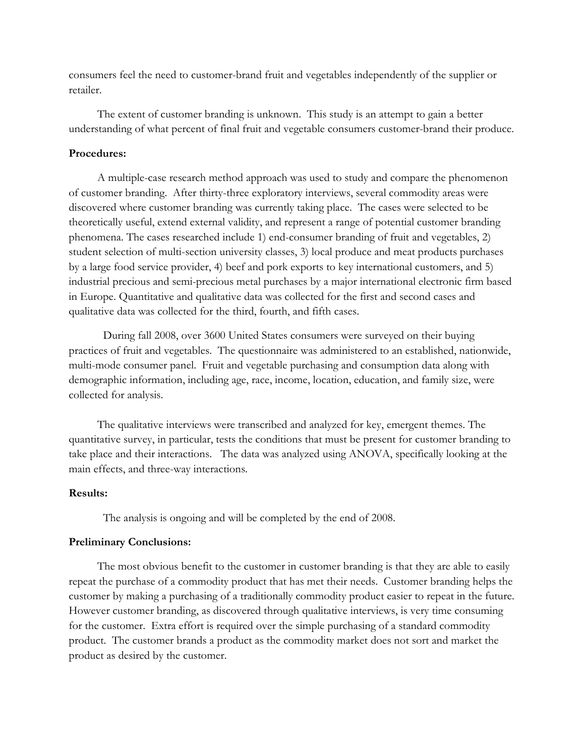consumers feel the need to customer-brand fruit and vegetables independently of the supplier or retailer.

 The extent of customer branding is unknown. This study is an attempt to gain a better understanding of what percent of final fruit and vegetable consumers customer-brand their produce.

## Procedures:

 A multiple-case research method approach was used to study and compare the phenomenon of customer branding. After thirty-three exploratory interviews, several commodity areas were discovered where customer branding was currently taking place. The cases were selected to be theoretically useful, extend external validity, and represent a range of potential customer branding phenomena. The cases researched include 1) end-consumer branding of fruit and vegetables, 2) student selection of multi-section university classes, 3) local produce and meat products purchases by a large food service provider, 4) beef and pork exports to key international customers, and 5) industrial precious and semi-precious metal purchases by a major international electronic firm based in Europe. Quantitative and qualitative data was collected for the first and second cases and qualitative data was collected for the third, fourth, and fifth cases.

During fall 2008, over 3600 United States consumers were surveyed on their buying practices of fruit and vegetables. The questionnaire was administered to an established, nationwide, multi-mode consumer panel. Fruit and vegetable purchasing and consumption data along with demographic information, including age, race, income, location, education, and family size, were collected for analysis.

 The qualitative interviews were transcribed and analyzed for key, emergent themes. The quantitative survey, in particular, tests the conditions that must be present for customer branding to take place and their interactions. The data was analyzed using ANOVA, specifically looking at the main effects, and three-way interactions.

# Results:

The analysis is ongoing and will be completed by the end of 2008.

#### Preliminary Conclusions:

 The most obvious benefit to the customer in customer branding is that they are able to easily repeat the purchase of a commodity product that has met their needs. Customer branding helps the customer by making a purchasing of a traditionally commodity product easier to repeat in the future. However customer branding, as discovered through qualitative interviews, is very time consuming for the customer. Extra effort is required over the simple purchasing of a standard commodity product. The customer brands a product as the commodity market does not sort and market the product as desired by the customer.